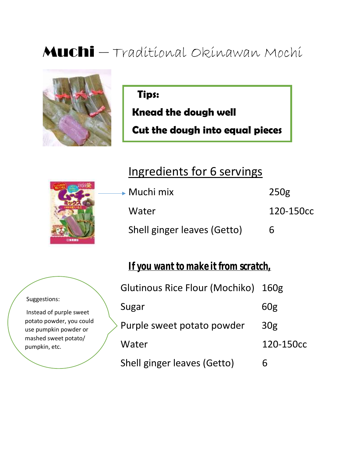## Muchi – Traditional Okinawan Mochi



**Tips:**

**Knead the dough well**

**Cut the dough into equal pieces**

## Ingredients for 6 servings





*If you want to make it from scratch,*

| Glutinous Rice Flour (Mochiko) 160g |                 |
|-------------------------------------|-----------------|
| Sugar                               | 60g             |
| Purple sweet potato powder          | 30 <sub>g</sub> |
| Water                               | 120-150cc       |
| Shell ginger leaves (Getto)         | h               |

Suggestions:

Instead of purple sweet potato powder, you could use pumpkin powder or mashed sweet potato/ pumpkin, etc.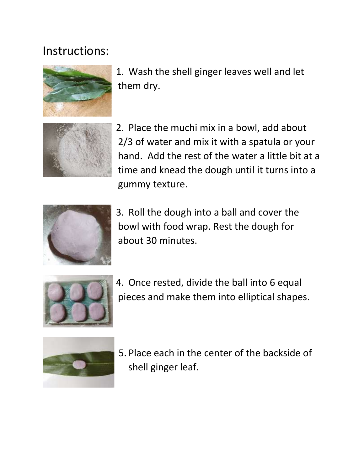## Instructions:



1. Wash the shell ginger leaves well and let them dry.



2. Place the muchi mix in a bowl, add about 2/3 of water and mix it with a spatula or your hand. Add the rest of the water a little bit at a time and knead the dough until it turns into a gummy texture.



3. Roll the dough into a ball and cover the bowl with food wrap. Rest the dough for about 30 minutes.



4. Once rested, divide the ball into 6 equal pieces and make them into elliptical shapes.



5. Place each in the center of the backside of shell ginger leaf.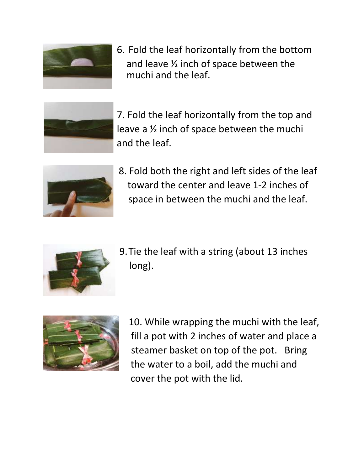

6. Fold the leaf horizontally from the bottom and leave ½ inch of space between the muchi and the leaf.



7. Fold the leaf horizontally from the top and leave a ½ inch of space between the muchi and the leaf.



8. Fold both the right and left sides of the leaf toward the center and leave 1-2 inches of space in between the muchi and the leaf.



9.Tie the leaf with a string (about 13 inches long).



10. While wrapping the muchi with the leaf, fill a pot with 2 inches of water and place a steamer basket on top of the pot. Bring the water to a boil, add the muchi and cover the pot with the lid.